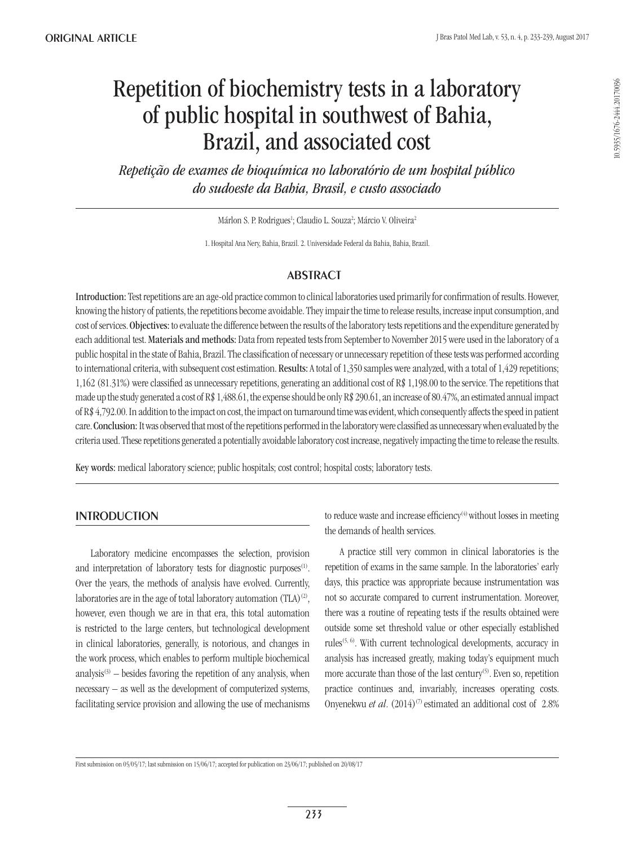# Repetition of biochemistry tests in a laboratory of public hospital in southwest of Bahia, Brazil, and associated cost

*Repetição de exames de bioquímica no laboratório de um hospital público do sudoeste da Bahia, Brasil, e custo associado*

Márlon S. P. Rodrigues<sup>1</sup>; Claudio L. Souza<sup>2</sup>; Márcio V. Oliveira<sup>2</sup>

1. Hospital Ana Nery, Bahia, Brazil. 2. Universidade Federal da Bahia, Bahia, Brazil.

## **ABSTRACT**

Introduction: Test repetitions are an age-old practice common to clinical laboratories used primarily for confirmation of results. However, knowing the history of patients, the repetitions become avoidable. They impair the time to release results, increase input consumption, and cost of services. Objectives: to evaluate the difference between the results of the laboratory tests repetitions and the expenditure generated by each additional test. Materials and methods: Data from repeated tests from September to November 2015 were used in the laboratory of a public hospital in the state of Bahia, Brazil. The classification of necessary or unnecessary repetition of these tests was performed according to international criteria, with subsequent cost estimation. Results: A total of 1,350 samples were analyzed, with a total of 1,429 repetitions; 1,162 (81.31%) were classified as unnecessary repetitions, generating an additional cost of R\$ 1,198.00 to the service. The repetitions that made up the study generated a cost of R\$ 1,488.61, the expense should be only R\$ 290.61, an increase of 80.47%, an estimated annual impact of R\$ 4,792.00. In addition to the impact on cost, the impact on turnaround time was evident, which consequently affects the speed in patient care. Conclusion: It was observed that most of the repetitions performed in the laboratory were classified as unnecessary when evaluated by the criteria used. These repetitions generated a potentially avoidable laboratory cost increase, negatively impacting the time to release the results.

Key words: medical laboratory science; public hospitals; cost control; hospital costs; laboratory tests.

## **INTRODUCTION**

Laboratory medicine encompasses the selection, provision and interpretation of laboratory tests for diagnostic purposes<sup>(1)</sup>. Over the years, the methods of analysis have evolved. Currently, laboratories are in the age of total laboratory automation  $(TLA)^{(2)}$ , however, even though we are in that era, this total automation is restricted to the large centers, but technological development in clinical laboratories, generally, is notorious, and changes in the work process, which enables to perform multiple biochemical analysis $(3)$  – besides favoring the repetition of any analysis, when necessary – as well as the development of computerized systems, facilitating service provision and allowing the use of mechanisms to reduce waste and increase efficiency<sup>(4)</sup> without losses in meeting the demands of health services.

A practice still very common in clinical laboratories is the repetition of exams in the same sample. In the laboratories' early days, this practice was appropriate because instrumentation was not so accurate compared to current instrumentation. Moreover, there was a routine of repeating tests if the results obtained were outside some set threshold value or other especially established rules<sup> $(5, 6)$ </sup>. With current technological developments, accuracy in analysis has increased greatly, making today's equipment much more accurate than those of the last century<sup>(5)</sup>. Even so, repetition practice continues and, invariably, increases operating costs. Onyenekwu *et al.*  $(2014)^{(7)}$  estimated an additional cost of 2.8%

First submission on 05/05/17; last submission on 15/06/17; accepted for publication on 23/06/17; published on 20/08/17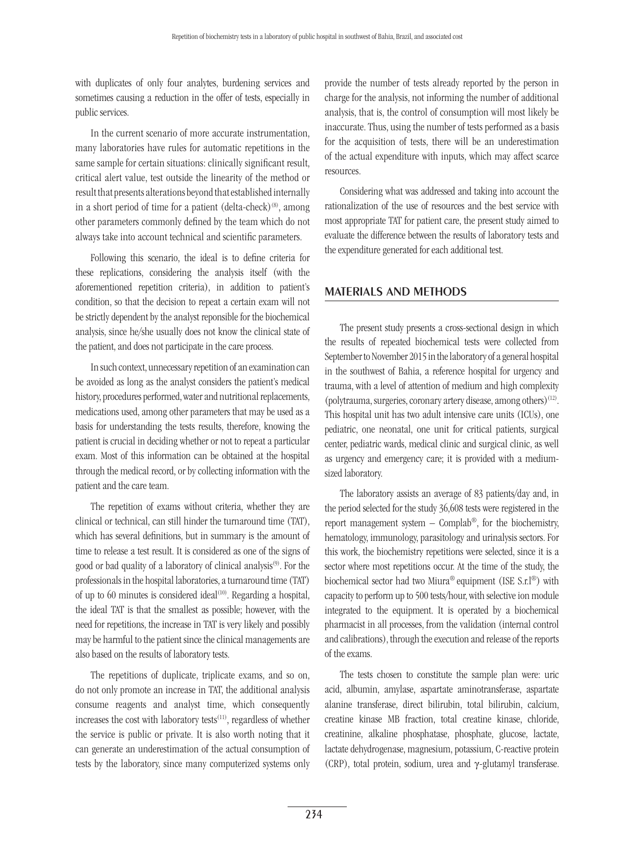with duplicates of only four analytes, burdening services and sometimes causing a reduction in the offer of tests, especially in public services.

In the current scenario of more accurate instrumentation, many laboratories have rules for automatic repetitions in the same sample for certain situations: clinically significant result, critical alert value, test outside the linearity of the method or result that presents alterations beyond that established internally in a short period of time for a patient (delta-check) $(8)$ , among other parameters commonly defined by the team which do not always take into account technical and scientific parameters.

Following this scenario, the ideal is to define criteria for these replications, considering the analysis itself (with the aforementioned repetition criteria), in addition to patient's condition, so that the decision to repeat a certain exam will not be strictly dependent by the analyst reponsible for the biochemical analysis, since he/she usually does not know the clinical state of the patient, and does not participate in the care process.

In such context, unnecessary repetition of an examination can be avoided as long as the analyst considers the patient's medical history, procedures performed, water and nutritional replacements, medications used, among other parameters that may be used as a basis for understanding the tests results, therefore, knowing the patient is crucial in deciding whether or not to repeat a particular exam. Most of this information can be obtained at the hospital through the medical record, or by collecting information with the patient and the care team.

The repetition of exams without criteria, whether they are clinical or technical, can still hinder the turnaround time (TAT), which has several definitions, but in summary is the amount of time to release a test result. It is considered as one of the signs of good or bad quality of a laboratory of clinical analysis<sup>(9)</sup>. For the professionals in the hospital laboratories, a turnaround time (TAT) of up to 60 minutes is considered ideal<sup>(10)</sup>. Regarding a hospital, the ideal TAT is that the smallest as possible; however, with the need for repetitions, the increase in TAT is very likely and possibly may be harmful to the patient since the clinical managements are also based on the results of laboratory tests.

The repetitions of duplicate, triplicate exams, and so on, do not only promote an increase in TAT, the additional analysis consume reagents and analyst time, which consequently increases the cost with laboratory tests<sup>(11)</sup>, regardless of whether the service is public or private. It is also worth noting that it can generate an underestimation of the actual consumption of tests by the laboratory, since many computerized systems only provide the number of tests already reported by the person in charge for the analysis, not informing the number of additional analysis, that is, the control of consumption will most likely be inaccurate. Thus, using the number of tests performed as a basis for the acquisition of tests, there will be an underestimation of the actual expenditure with inputs, which may affect scarce resources.

Considering what was addressed and taking into account the rationalization of the use of resources and the best service with most appropriate TAT for patient care, the present study aimed to evaluate the difference between the results of laboratory tests and the expenditure generated for each additional test.

#### Materials and methods

The present study presents a cross-sectional design in which the results of repeated biochemical tests were collected from September to November 2015 in the laboratory of a general hospital in the southwest of Bahia, a reference hospital for urgency and trauma, with a level of attention of medium and high complexity (polytrauma, surgeries, coronary artery disease, among others)<sup>(12)</sup>. This hospital unit has two adult intensive care units (ICUs), one pediatric, one neonatal, one unit for critical patients, surgical center, pediatric wards, medical clinic and surgical clinic, as well as urgency and emergency care; it is provided with a mediumsized laboratory.

The laboratory assists an average of 83 patients/day and, in the period selected for the study 36,608 tests were registered in the report management system  $-$  Complab®, for the biochemistry, hematology, immunology, parasitology and urinalysis sectors. For this work, the biochemistry repetitions were selected, since it is a sector where most repetitions occur. At the time of the study, the biochemical sector had two Miura® equipment (ISE S.r.l®) with capacity to perform up to 500 tests/hour, with selective ion module integrated to the equipment. It is operated by a biochemical pharmacist in all processes, from the validation (internal control and calibrations), through the execution and release of the reports of the exams.

The tests chosen to constitute the sample plan were: uric acid, albumin, amylase, aspartate aminotransferase, aspartate alanine transferase, direct bilirubin, total bilirubin, calcium, creatine kinase MB fraction, total creatine kinase, chloride, creatinine, alkaline phosphatase, phosphate, glucose, lactate, lactate dehydrogenase, magnesium, potassium, C-reactive protein (CRP), total protein, sodium, urea and γ-glutamyl transferase.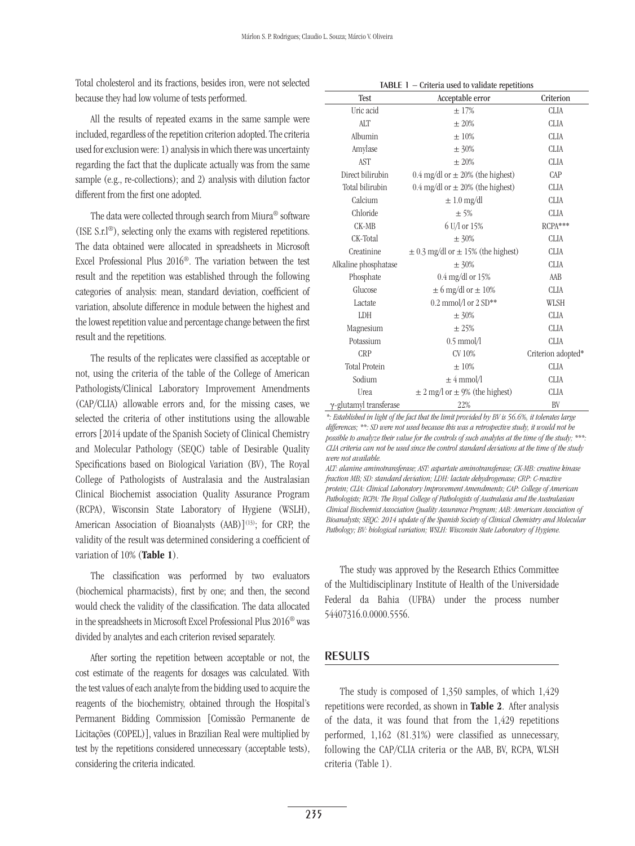Total cholesterol and its fractions, besides iron, were not selected because they had low volume of tests performed.

All the results of repeated exams in the same sample were included, regardless of the repetition criterion adopted. The criteria used for exclusion were: 1) analysis in which there was uncertainty regarding the fact that the duplicate actually was from the same sample (e.g., re-collections); and 2) analysis with dilution factor different from the first one adopted.

The data were collected through search from Miura® software (ISE S.r.l®), selecting only the exams with registered repetitions. The data obtained were allocated in spreadsheets in Microsoft Excel Professional Plus 2016®. The variation between the test result and the repetition was established through the following categories of analysis: mean, standard deviation, coefficient of variation, absolute difference in module between the highest and the lowest repetition value and percentage change between the first result and the repetitions.

The results of the replicates were classified as acceptable or not, using the criteria of the table of the College of American Pathologists/Clinical Laboratory Improvement Amendments (CAP/CLIA) allowable errors and, for the missing cases, we selected the criteria of other institutions using the allowable errors [2014 update of the Spanish Society of Clinical Chemistry and Molecular Pathology (SEQC) table of Desirable Quality Specifications based on Biological Variation (BV), The Royal College of Pathologists of Australasia and the Australasian Clinical Biochemist association Quality Assurance Program (RCPA), Wisconsin State Laboratory of Hygiene (WSLH), American Association of Bioanalysts (AAB) $]^{(13)}$ ; for CRP, the validity of the result was determined considering a coefficient of variation of 10% (Table 1).

The classification was performed by two evaluators (biochemical pharmacists), first by one; and then, the second would check the validity of the classification. The data allocated in the spreadsheets in Microsoft Excel Professional Plus 2016® was divided by analytes and each criterion revised separately.

After sorting the repetition between acceptable or not, the cost estimate of the reagents for dosages was calculated. With the test values of each analyte from the bidding used to acquire the reagents of the biochemistry, obtained through the Hospital's Permanent Bidding Commission [Comissão Permanente de Licitações (COPEL)], values in Brazilian Real were multiplied by test by the repetitions considered unnecessary (acceptable tests), considering the criteria indicated.

| <b>TABLE</b> $1$ – Criteria used to validate repetitions |
|----------------------------------------------------------|
|----------------------------------------------------------|

| Test                           | orneral about to vandate report form<br>Acceptable error | Criterion          |  |
|--------------------------------|----------------------------------------------------------|--------------------|--|
| Uric acid                      | $\pm 17\%$                                               | <b>CLIA</b>        |  |
| <b>ALT</b>                     | $\pm 20\%$                                               | <b>CLIA</b>        |  |
| Albumin                        | $\pm 10\%$                                               | <b>CLIA</b>        |  |
| Amylase                        | $\pm$ 30%                                                | <b>CLIA</b>        |  |
| <b>AST</b>                     | $\pm 20\%$                                               | <b>CLIA</b>        |  |
| Direct bilirubin               | 0.4 mg/dl or $\pm$ 20% (the highest)                     | CAP                |  |
| Total bilirubin                | 0.4 mg/dl or $\pm$ 20% (the highest)                     | <b>CLIA</b>        |  |
| Calcium                        | $\pm 1.0$ mg/dl                                          | <b>CLIA</b>        |  |
| Chloride                       | ± 5%                                                     | <b>CLIA</b>        |  |
| CK-MB                          | 6 U/l or 15%                                             | RCPA***            |  |
| CK-Total                       | $\pm$ 30%                                                | <b>CLIA</b>        |  |
| Creatinine                     | $\pm$ 0.3 mg/dl or $\pm$ 15% (the highest)               | <b>CLIA</b>        |  |
| Alkaline phosphatase           | $\pm$ 30%                                                | <b>CLIA</b>        |  |
| Phosphate                      | $0.4 \text{ mg/dl}$ or 15%                               | AAB                |  |
| Glucose                        | $\pm$ 6 mg/dl or $\pm$ 10%                               | <b>CLIA</b>        |  |
| Lactate                        | $0.2$ mmol/l or $2 SD$ **                                | WLSH               |  |
| LDH                            | $\pm$ 30%                                                | <b>CLIA</b>        |  |
| Magnesium                      | $\pm 25%$                                                | <b>CLIA</b>        |  |
| Potassium                      | $0.5$ mmol/l                                             | <b>CLIA</b>        |  |
| <b>CRP</b>                     | CV 10%                                                   | Criterion adopted* |  |
| <b>Total Protein</b>           | $\pm 10\%$                                               | <b>CLIA</b>        |  |
| Sodium                         | $\pm 4$ mmol/l                                           | <b>CLIA</b>        |  |
| Urea                           | $\pm$ 2 mg/l or $\pm$ 9% (the highest)                   | <b>CLIA</b>        |  |
| $\gamma$ -glutamyl transferase | 22%                                                      | BV                 |  |

*\*: Established in light of the fact that the limit provided by BV is 56.6%, it tolerates large differences; \*\*: SD were not used because this was a retrospective study, it would not be possible to analyze their value for the controls of such analytes at the time of the study; \*\*\*: CLIA criteria can not be used since the control standard deviations at the time of the study were not available.*

*ALT: alanine aminotransferase; AST: aspartate aminotransferase; CK-MB: creatine kinase fraction MB; SD: standard deviation; LDH: lactate dehydrogenase; CRP: C-reactive protein; CLIA: Clinical Laboratory Improvement Amendments; CAP: College of American Pathologists; RCPA: The Royal College of Pathologists of Australasia and the Australasian Clinical Biochemist Association Quality Assurance Program; AAB: American Association of Bioanalysts; SEQC: 2014 update of the Spanish Society of Clinical Chemistry and Molecular Pathology; BV: biological variation; WSLH: Wisconsin State Laboratory of Hygiene.*

The study was approved by the Research Ethics Committee of the Multidisciplinary Institute of Health of the Universidade Federal da Bahia (UFBA) under the process number 54407316.0.0000.5556.

#### Results

The study is composed of 1,350 samples, of which 1,429 repetitions were recorded, as shown in **Table 2**. After analysis of the data, it was found that from the 1,429 repetitions performed, 1,162 (81.31%) were classified as unnecessary, following the CAP/CLIA criteria or the AAB, BV, RCPA, WLSH criteria (Table 1).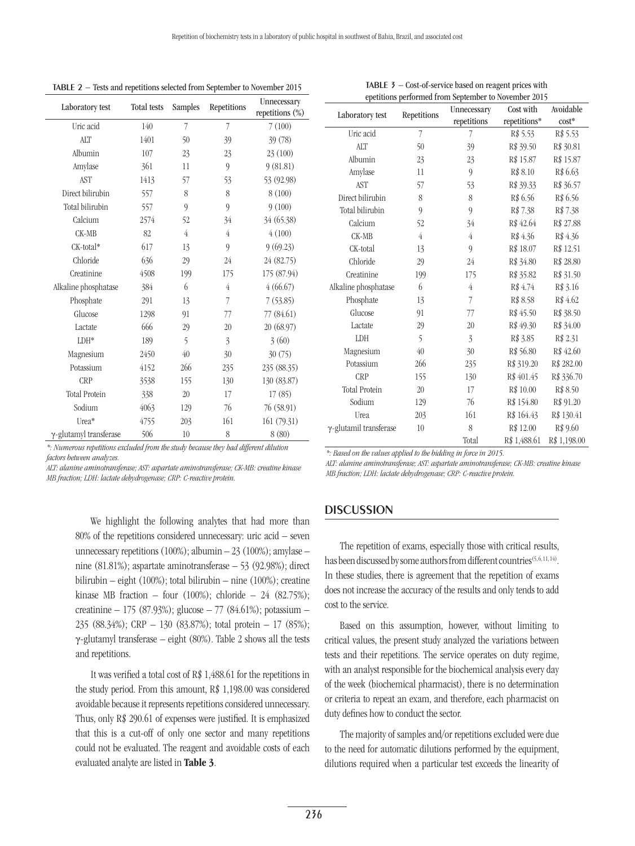| Laboratory test                | Total tests | Samples        | Repetitions      | 1000 and reportedno ocioeted n'oni oepienner to riorenner 2019<br>Unnecessary<br>repetitions (%) |
|--------------------------------|-------------|----------------|------------------|--------------------------------------------------------------------------------------------------|
| Uric acid                      | 140         | 7              | 7                | 7(100)                                                                                           |
| <b>ALT</b>                     | 1401        | 50             | 39               | 39 (78)                                                                                          |
| Albumin                        | 107         | 23             | 23               | 23(100)                                                                                          |
| Amylase                        | 361         | 11             | 9                | 9(81.81)                                                                                         |
| <b>AST</b>                     | 1413        | 57             | 53               | 53 (92.98)                                                                                       |
| Direct bilirubin               | 557         | 8              | 8                | 8(100)                                                                                           |
| Total bilirubin                | 557         | $\mathbf{Q}$   | $\boldsymbol{Q}$ | 9(100)                                                                                           |
| Calcium                        | 2574        | 52             | 34               | 34 (65.38)                                                                                       |
| CK-MB                          | 82          | $\overline{4}$ | 4                | 4(100)                                                                                           |
| CK-total*                      | 617         | 13             | $\theta$         | 9(69.23)                                                                                         |
| Chloride                       | 636         | 29             | 24               | 24 (82.75)                                                                                       |
| Creatinine                     | 4508        | 199            | 175              | 175 (87.94)                                                                                      |
| Alkaline phosphatase           | 384         | 6              | $\overline{4}$   | 4(66.67)                                                                                         |
| Phosphate                      | 291         | 13             | 7                | 7(53.85)                                                                                         |
| Glucose                        | 1298        | 91             | 77               | 77 (84.61)                                                                                       |
| Lactate                        | 666         | 29             | 20               | 20 (68.97)                                                                                       |
| $LDH*$                         | 189         | 5              | $\overline{3}$   | 3(60)                                                                                            |
| Magnesium                      | 2450        | 40             | 30               | 30(75)                                                                                           |
| Potassium                      | 4152        | 266            | 235              | 235 (88.35)                                                                                      |
| <b>CRP</b>                     | 3538        | 155            | 130              | 130 (83.87)                                                                                      |
| <b>Total Protein</b>           | 338         | 20             | 17               | 17(85)                                                                                           |
| Sodium                         | 4063        | 129            | 76               | 76 (58.91)                                                                                       |
| Urea*                          | 4755        | 203            | 161              | 161(79.31)                                                                                       |
| $\gamma$ -glutamyl transferase | 506         | 10             | 8                | 8(80)                                                                                            |

TABLE 2 − Tests and repetitions selected from September to November 2015

*\*: Numerous repetitions excluded from the study because they had different dilution factors between analyzes.*

*ALT: alanine aminotransferase; AST: aspartate aminotransferase; CK-MB: creatine kinase MB fraction; LDH: lactate dehydrogenase; CRP: C-reactive protein.*

> We highlight the following analytes that had more than 80% of the repetitions considered unnecessary: uric acid – seven unnecessary repetitions  $(100\%)$ ; albumin  $-23$   $(100\%)$ ; amylase  $$ nine (81.81%); aspartate aminotransferase – 53 (92.98%); direct bilirubin – eight (100%); total bilirubin – nine (100%); creatine kinase MB fraction – four (100%); chloride – 24 (82.75%); creatinine – 175 (87.93%); glucose – 77 (84.61%); potassium – 235 (88.34%); CRP – 130 (83.87%); total protein – 17 (85%); γ-glutamyl transferase – eight (80%). Table 2 shows all the tests and repetitions.

> It was verified a total cost of R\$ 1,488.61 for the repetitions in the study period. From this amount, R\$ 1,198.00 was considered avoidable because it represents repetitions considered unnecessary. Thus, only R\$ 290.61 of expenses were justified. It is emphasized that this is a cut-off of only one sector and many repetitions could not be evaluated. The reagent and avoidable costs of each evaluated analyte are listed in Table 3.

|                                | Repetitions    | Unnecessary      | Cost with    | Avoidable    |
|--------------------------------|----------------|------------------|--------------|--------------|
| Laboratory test                |                | repetitions      | repetitions* | $cost*$      |
| Uric acid                      | 7              | 7                | R\$ 5.53     | R\$ 5.53     |
| <b>ALT</b>                     | 50             | 39               | R\$ 39.50    | R\$ 30.81    |
| Albumin                        | 23             | 23               | R\$ 15.87    | R\$ 15.87    |
| Amylase                        | 11             | 9                | R\$ 8.10     | R\$ 6.63     |
| <b>AST</b>                     | 57             | 53               | R\$ 39.33    | R\$ 36.57    |
| Direct bilirubin               | 8              | 8                | R\$ 6.56     | R\$ 6.56     |
| Total bilirubin                | 9              | 9                | R\$ 7.38     | R\$ 7.38     |
| Calcium                        | 52             | 34               | R\$42.64     | R\$ 27.88    |
| CK-MB                          | $\overline{4}$ | $\overline{4}$   | R\$4.36      | R\$4.36      |
| CK-total                       | 13             | $\boldsymbol{Q}$ | R\$ 18.07    | R\$ 12.51    |
| Chloride                       | 29             | 24               | R\$ 34.80    | R\$ 28.80    |
| Creatinine                     | 199            | 175              | R\$ 35.82    | R\$ 31.50    |
| Alkaline phosphatase           | 6              | 4                | R\$4.74      | R\$ 3.16     |
| Phosphate                      | 13             | 7                | R\$ 8.58     | R\$4.62      |
| Glucose                        | 91             | 77               | R\$45.50     | R\$ 38.50    |
| Lactate                        | 29             | 20               | R\$49.30     | R\$ 34.00    |
| LDH                            | 5              | $\overline{3}$   | R\$ 3.85     | R\$ 2.31     |
| Magnesium                      | 40             | 30               | R\$ 56.80    | R\$42.60     |
| Potassium                      | 266            | 235              | R\$ 319.20   | R\$ 282.00   |
| <b>CRP</b>                     | 155            | 130              | R\$401.45    | R\$ 336.70   |
| <b>Total Protein</b>           | 20             | 17               | R\$ 10.00    | R\$ 8.50     |
| Sodium                         | 129            | 76               | R\$ 154.80   | R\$ 91.20    |
| Urea                           | 203            | 161              | R\$ 164.43   | R\$ 130.41   |
| $\gamma$ -glutamil transferase | 10             | 8                | R\$ 12.00    | R\$ 9.60     |
|                                |                | Total            | R\$ 1,488.61 | R\$ 1,198.00 |

TABLE 3 − Cost-of-service based on reagent prices with epetitions performed from September to November 2015

*\*: Based on the values applied to the bidding in force in 2015.*

*ALT: alanine aminotransferase; AST: aspartate aminotransferase; CK-MB: creatine kinase MB fraction; LDH: lactate dehydrogenase; CRP: C-reactive protein.*

#### **DISCUSSION**

The repetition of exams, especially those with critical results, has been discussed by some authors from different countries<sup>(5, 6, 11, 14)</sup>. In these studies, there is agreement that the repetition of exams does not increase the accuracy of the results and only tends to add cost to the service.

Based on this assumption, however, without limiting to critical values, the present study analyzed the variations between tests and their repetitions. The service operates on duty regime, with an analyst responsible for the biochemical analysis every day of the week (biochemical pharmacist), there is no determination or criteria to repeat an exam, and therefore, each pharmacist on duty defines how to conduct the sector.

The majority of samples and/or repetitions excluded were due to the need for automatic dilutions performed by the equipment, dilutions required when a particular test exceeds the linearity of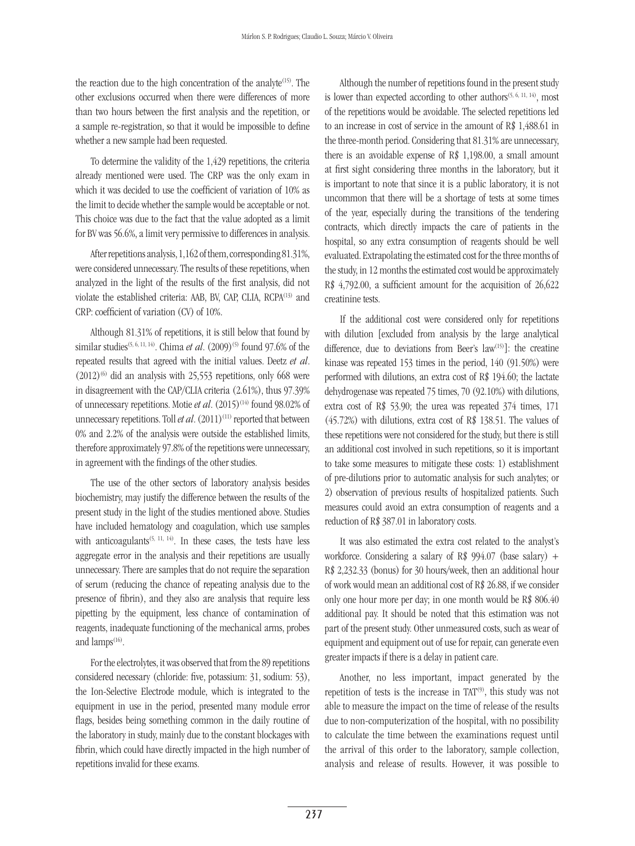the reaction due to the high concentration of the analyte $(15)$ . The other exclusions occurred when there were differences of more than two hours between the first analysis and the repetition, or a sample re-registration, so that it would be impossible to define whether a new sample had been requested.

To determine the validity of the 1,429 repetitions, the criteria already mentioned were used. The CRP was the only exam in which it was decided to use the coefficient of variation of 10% as the limit to decide whether the sample would be acceptable or not. This choice was due to the fact that the value adopted as a limit for BV was 56.6%, a limit very permissive to differences in analysis.

After repetitions analysis, 1,162 of them, corresponding 81.31%, were considered unnecessary. The results of these repetitions, when analyzed in the light of the results of the first analysis, did not violate the established criteria: AAB, BV, CAP, CLIA, RCPA<sup>(13)</sup> and CRP: coefficient of variation (CV) of 10%.

Although 81.31% of repetitions, it is still below that found by similar studies<sup>(5, 6, 11, 14)</sup>. Chima *et al.* (2009)<sup>(5)</sup> found 97.6% of the repeated results that agreed with the initial values. Deetz *et al*.  $(2012)^{6}$  did an analysis with 25,553 repetitions, only 668 were in disagreement with the CAP/CLIA criteria (2.61%), thus 97.39% of unnecessary repetitions. Motie *et al.* (2015)<sup>(14)</sup> found 98.02% of unnecessary repetitions. Toll *et al.* (2011)<sup>(11)</sup> reported that between 0% and 2.2% of the analysis were outside the established limits, therefore approximately 97.8% of the repetitions were unnecessary, in agreement with the findings of the other studies.

The use of the other sectors of laboratory analysis besides biochemistry, may justify the difference between the results of the present study in the light of the studies mentioned above. Studies have included hematology and coagulation, which use samples with anticoagulants<sup> $(5, 11, 14)$ </sup>. In these cases, the tests have less aggregate error in the analysis and their repetitions are usually unnecessary. There are samples that do not require the separation of serum (reducing the chance of repeating analysis due to the presence of fibrin), and they also are analysis that require less pipetting by the equipment, less chance of contamination of reagents, inadequate functioning of the mechanical arms, probes and lamps<sup>(16)</sup>.

For the electrolytes, it was observed that from the 89 repetitions considered necessary (chloride: five, potassium: 31, sodium: 53), the Ion-Selective Electrode module, which is integrated to the equipment in use in the period, presented many module error flags, besides being something common in the daily routine of the laboratory in study, mainly due to the constant blockages with fibrin, which could have directly impacted in the high number of repetitions invalid for these exams.

Although the number of repetitions found in the present study is lower than expected according to other authors<sup> $(5, 6, 11, 14)$ </sup>, most of the repetitions would be avoidable. The selected repetitions led to an increase in cost of service in the amount of R\$ 1,488.61 in the three-month period. Considering that 81.31% are unnecessary, there is an avoidable expense of R\$ 1,198.00, a small amount at first sight considering three months in the laboratory, but it is important to note that since it is a public laboratory, it is not uncommon that there will be a shortage of tests at some times of the year, especially during the transitions of the tendering contracts, which directly impacts the care of patients in the hospital, so any extra consumption of reagents should be well evaluated. Extrapolating the estimated cost for the three months of the study, in 12 months the estimated cost would be approximately R\$ 4,792.00, a sufficient amount for the acquisition of 26,622 creatinine tests.

If the additional cost were considered only for repetitions with dilution [excluded from analysis by the large analytical difference, due to deviations from Beer's law<sup>(15)</sup>]: the creatine kinase was repeated 153 times in the period, 140 (91.50%) were performed with dilutions, an extra cost of R\$ 194.60; the lactate dehydrogenase was repeated 75 times, 70 (92.10%) with dilutions, extra cost of R\$ 53.90; the urea was repeated 374 times, 171 (45.72%) with dilutions, extra cost of R\$ 138.51. The values of these repetitions were not considered for the study, but there is still an additional cost involved in such repetitions, so it is important to take some measures to mitigate these costs: 1) establishment of pre-dilutions prior to automatic analysis for such analytes; or 2) observation of previous results of hospitalized patients. Such measures could avoid an extra consumption of reagents and a reduction of R\$ 387.01 in laboratory costs.

It was also estimated the extra cost related to the analyst's workforce. Considering a salary of R\$ 994.07 (base salary) + R\$ 2,232.33 (bonus) for 30 hours/week, then an additional hour of work would mean an additional cost of R\$ 26.88, if we consider only one hour more per day; in one month would be R\$ 806.40 additional pay. It should be noted that this estimation was not part of the present study. Other unmeasured costs, such as wear of equipment and equipment out of use for repair, can generate even greater impacts if there is a delay in patient care.

Another, no less important, impact generated by the repetition of tests is the increase in TAT $^{(9)}$ , this study was not able to measure the impact on the time of release of the results due to non-computerization of the hospital, with no possibility to calculate the time between the examinations request until the arrival of this order to the laboratory, sample collection, analysis and release of results. However, it was possible to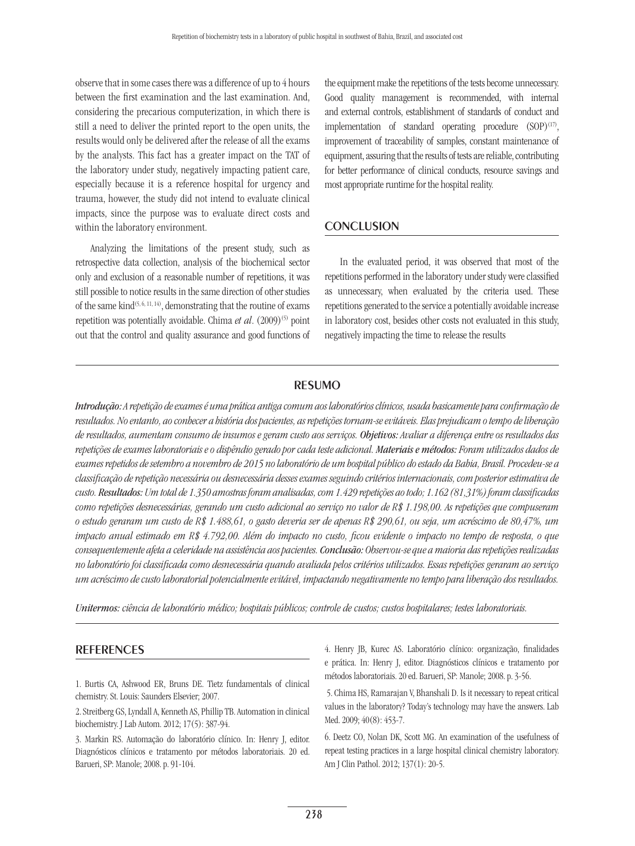observe that in some cases there was a difference of up to 4 hours between the first examination and the last examination. And, considering the precarious computerization, in which there is still a need to deliver the printed report to the open units, the results would only be delivered after the release of all the exams by the analysts. This fact has a greater impact on the TAT of the laboratory under study, negatively impacting patient care, especially because it is a reference hospital for urgency and trauma, however, the study did not intend to evaluate clinical impacts, since the purpose was to evaluate direct costs and within the laboratory environment.

Analyzing the limitations of the present study, such as retrospective data collection, analysis of the biochemical sector only and exclusion of a reasonable number of repetitions, it was still possible to notice results in the same direction of other studies of the same kind<sup> $(5, 6, 11, 14)$ </sup>, demonstrating that the routine of exams repetition was potentially avoidable. Chima *et al.* (2009)<sup>(5)</sup> point out that the control and quality assurance and good functions of

the equipment make the repetitions of the tests become unnecessary. Good quality management is recommended, with internal and external controls, establishment of standards of conduct and implementation of standard operating procedure  $(SOP)^{(17)}$ , improvement of traceability of samples, constant maintenance of equipment, assuring that the results of tests are reliable, contributing for better performance of clinical conducts, resource savings and most appropriate runtime for the hospital reality.

### CONCLUSION

In the evaluated period, it was observed that most of the repetitions performed in the laboratory under study were classified as unnecessary, when evaluated by the criteria used. These repetitions generated to the service a potentially avoidable increase in laboratory cost, besides other costs not evaluated in this study, negatively impacting the time to release the results

#### resumo

*Introdução: A repetição de exames é uma prática antiga comum aos laboratórios clínicos, usada basicamente para confirmação de resultados. No entanto, ao conhecer a história dos pacientes, as repetições tornam-se evitáveis. Elas prejudicam o tempo de liberação de resultados, aumentam consumo de insumos e geram custo aos serviços. Objetivos: Avaliar a diferença entre os resultados das repetições de exames laboratoriais e o dispêndio gerado por cada teste adicional. Materiais e métodos: Foram utilizados dados de exames repetidos de setembro a novembro de 2015 no laboratório de um hospital público do estado da Bahia, Brasil. Procedeu-se a classificação de repetição necessária ou desnecessária desses exames seguindo critérios internacionais, com posterior estimativa de custo. Resultados: Um total de 1.350 amostras foram analisadas, com 1.429 repetições ao todo; 1.162 (81,31%) foram classificadas como repetições desnecessárias, gerando um custo adicional ao serviço no valor de R\$ 1.198,00. As repetições que compuseram o estudo geraram um custo de R\$ 1.488,61, o gasto deveria ser de apenas R\$ 290,61, ou seja, um acréscimo de 80,47%, um impacto anual estimado em R\$ 4.792,00. Além do impacto no custo, ficou evidente o impacto no tempo de resposta, o que consequentemente afeta a celeridade na assistência aos pacientes. Conclusão: Observou-se que a maioria das repetições realizadas no laboratório foi classificada como desnecessária quando avaliada pelos critérios utilizados. Essas repetições geraram ao serviço um acréscimo de custo laboratorial potencialmente evitável, impactando negativamente no tempo para liberação dos resultados.*

*Unitermos: ciência de laboratório médico; hospitais públicos; controle de custos; custos hospitalares; testes laboratoriais.*

#### **REFERENCES**

1. Burtis CA, Ashwood ER, Bruns DE. Tietz fundamentals of clinical chemistry. St. Louis: Saunders Elsevier; 2007.

2. Streitberg GS, Lyndall A, Kenneth AS, Phillip TB. Automation in clinical biochemistry. J Lab Autom. 2012; 17(5): 387-94.

3. Markin RS. Automação do laboratório clínico. In: Henry J, editor. Diagnósticos clínicos e tratamento por métodos laboratoriais. 20 ed. Barueri, SP: Manole; 2008. p. 91-104.

4. Henry JB, Kurec AS. Laboratório clínico: organização, finalidades e prática. In: Henry J, editor. Diagnósticos clínicos e tratamento por métodos laboratoriais. 20 ed. Barueri, SP: Manole; 2008. p. 3-56.

 5. Chima HS, Ramarajan V, Bhanshali D. Is it necessary to repeat critical values in the laboratory? Today's technology may have the answers. Lab Med. 2009; 40(8): 453-7.

6. Deetz CO, Nolan DK, Scott MG. An examination of the usefulness of repeat testing practices in a large hospital clinical chemistry laboratory. Am J Clin Pathol. 2012; 137(1): 20-5.